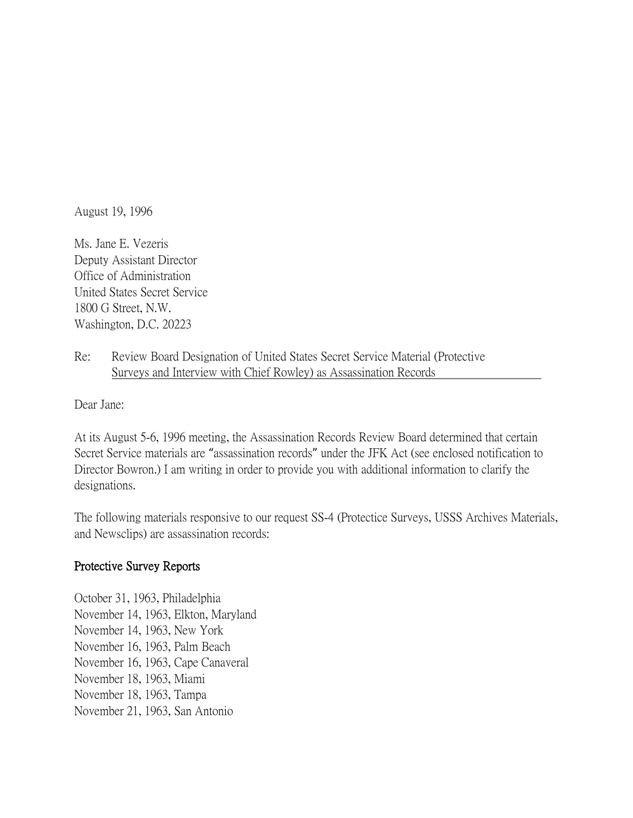August 19, 1996

Ms. Jane E. Vezeris Deputy Assistant Director Office of Administration United States Secret Service 1800 G Street, N.W. Washington, D.C. 20223

Re: Review Board Designation of United States Secret Service Material (Protective Surveys and Interview with Chief Rowley) as Assassination Records

Dear Jane:

At its August 5-6, 1996 meeting, the Assassination Records Review Board determined that certain Secret Service materials are "assassination records" under the JFK Act (see enclosed notification to Director Bowron.) I am writing in order to provide you with additional information to clarify the designations.

The following materials responsive to our request SS-4 (Protectice Surveys, USSS Archives Materials, and Newsclips) are assassination records:

## Protective Survey Reports

- October 31, 1963, Philadelphia November 14, 1963, Elkton, Maryland November 14, 1963, New York November 16, 1963, Palm Beach November 16, 1963, Cape Canaveral November 18, 1963, Miami November 18, 1963, Tampa
- November 21, 1963, San Antonio